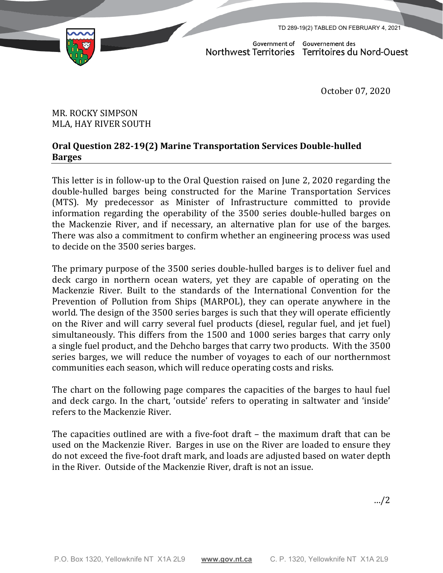TD 289-19(2) TABLED ON FEBRUARY 4, 2021



Government of Gouvernement des Northwest Territories Territoires du Nord-Ouest

October 07, 2020

## MR. ROCKY SIMPSON MLA, HAY RIVER SOUTH

## **Oral Question 282-19(2) Marine Transportation Services Double-hulled Barges**

This letter is in follow-up to the Oral Question raised on June 2, 2020 regarding the double-hulled barges being constructed for the Marine Transportation Services (MTS). My predecessor as Minister of Infrastructure committed to provide information regarding the operability of the 3500 series double-hulled barges on the Mackenzie River, and if necessary, an alternative plan for use of the barges. There was also a commitment to confirm whether an engineering process was used to decide on the 3500 series barges.

The primary purpose of the 3500 series double-hulled barges is to deliver fuel and deck cargo in northern ocean waters, yet they are capable of operating on the Mackenzie River. Built to the standards of the International Convention for the Prevention of Pollution from Ships (MARPOL), they can operate anywhere in the world. The design of the 3500 series barges is such that they will operate efficiently on the River and will carry several fuel products (diesel, regular fuel, and jet fuel) simultaneously. This differs from the 1500 and 1000 series barges that carry only a single fuel product, and the Dehcho barges that carry two products. With the 3500 series barges, we will reduce the number of voyages to each of our northernmost communities each season, which will reduce operating costs and risks.

The chart on the following page compares the capacities of the barges to haul fuel and deck cargo. In the chart, 'outside' refers to operating in saltwater and 'inside' refers to the Mackenzie River.

The capacities outlined are with a five-foot draft – the maximum draft that can be used on the Mackenzie River. Barges in use on the River are loaded to ensure they do not exceed the five-foot draft mark, and loads are adjusted based on water depth in the River. Outside of the Mackenzie River, draft is not an issue.

…/2